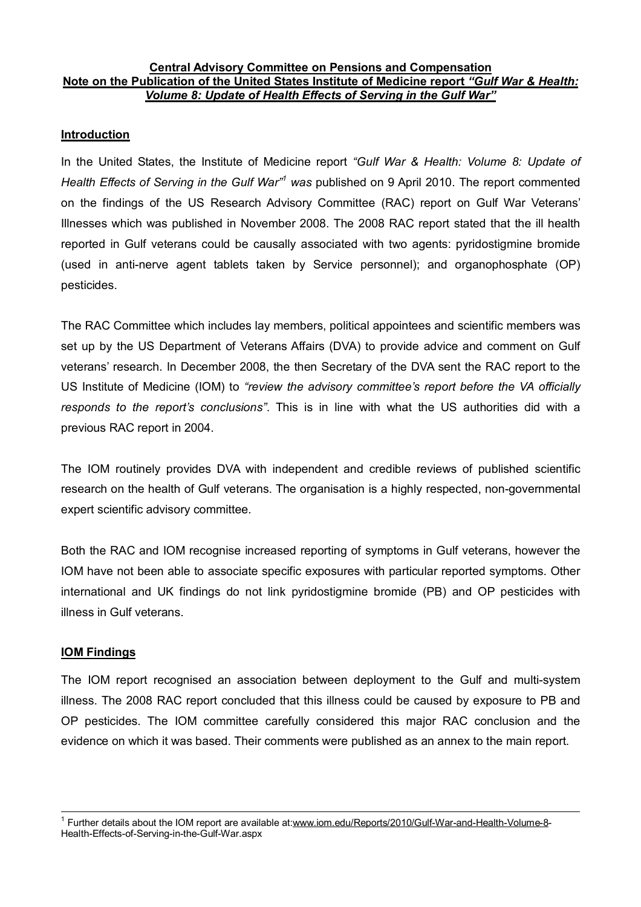## **Central Advisory Committee on Pensions and Compensation Note on the Publication of the United States Institute of Medicine report** *"Gulf War & Health: Volume 8: Update of Health Effects of Serving in the Gulf War"*

## **Introduction**

In the United States, the Institute of Medicine report *"Gulf War & Health: Volume 8: Update of Health Effects of Serving in the Gulf War"<sup>1</sup> was* published on 9 April 2010. The report commented on the findings of the US Research Advisory Committee (RAC) report on Gulf War Veterans' Illnesses which was published in November 2008. The 2008 RAC report stated that the ill health reported in Gulf veterans could be causally associated with two agents: pyridostigmine bromide (used in anti-nerve agent tablets taken by Service personnel); and organophosphate (OP) pesticides.

The RAC Committee which includes lay members, political appointees and scientific members was set up by the US Department of Veterans Affairs (DVA) to provide advice and comment on Gulf veterans' research. In December 2008, the then Secretary of the DVA sent the RAC report to the US Institute of Medicine (IOM) to *"review the advisory committee's report before the VA officially responds to the report's conclusions"*. This is in line with what the US authorities did with a previous RAC report in 2004.

The IOM routinely provides DVA with independent and credible reviews of published scientific research on the health of Gulf veterans. The organisation is a highly respected, non-governmental expert scientific advisory committee.

Both the RAC and IOM recognise increased reporting of symptoms in Gulf veterans, however the IOM have not been able to associate specific exposures with particular reported symptoms. Other international and UK findings do not link pyridostigmine bromide (PB) and OP pesticides with illness in Gulf veterans.

## **IOM Findings**

 $\overline{\phantom{a}}$ 

The IOM report recognised an association between deployment to the Gulf and multi-system illness. The 2008 RAC report concluded that this illness could be caused by exposure to PB and OP pesticides. The IOM committee carefully considered this major RAC conclusion and the evidence on which it was based. Their comments were published as an annex to the main report.

<sup>&</sup>lt;sup>1</sup> Further details about the IOM report are available at:[www.iom.edu/Reports/2010/Gulf-War-and-Health-Volume-8](http://www.iom.edu/Reports/2010/Gulf-War-and-Health-Volume-8)-Health-Effects-of-Serving-in-the-Gulf-War.aspx